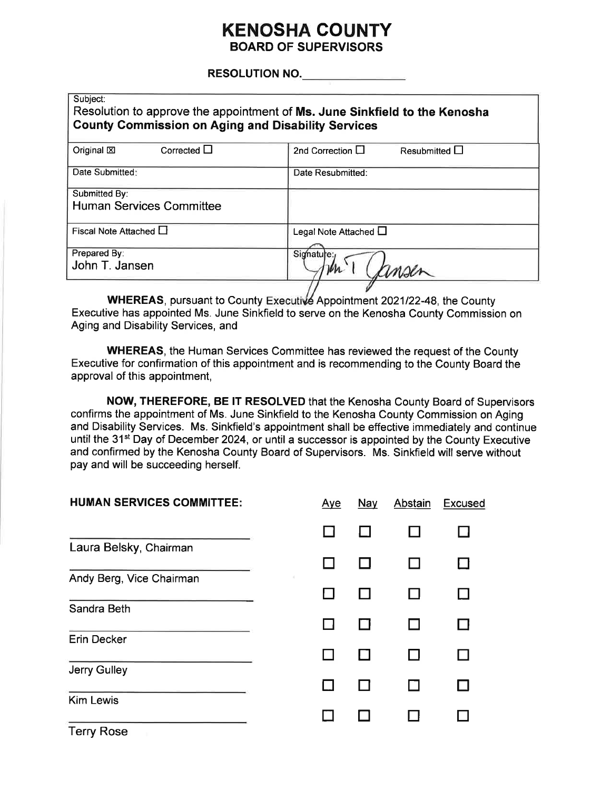## **KENOSHA COUNTY BOARD OF SUPERVISORS**

#### **RESOLUTION NO.**

| Subject:<br>Resolution to approve the appointment of Ms. June Sinkfield to the Kenosha<br><b>County Commission on Aging and Disability Services</b> |                                             |  |  |  |
|-----------------------------------------------------------------------------------------------------------------------------------------------------|---------------------------------------------|--|--|--|
| Corrected $\Box$<br>Original XI                                                                                                                     | 2nd Correction $\Box$<br>Resubmitted $\Box$ |  |  |  |
| Date Submitted:                                                                                                                                     | Date Resubmitted:                           |  |  |  |
| Submitted By:<br><b>Human Services Committee</b>                                                                                                    |                                             |  |  |  |
| Fiscal Note Attached $\Box$                                                                                                                         | Legal Note Attached L                       |  |  |  |
| Prepared By:<br>John T. Jansen                                                                                                                      | Signature:                                  |  |  |  |

WHEREAS, pursuant to County Executive Appointment 2021/22-48, the County Executive has appointed Ms. June Sinkfield to serve on the Kenosha County Commission on Aging and Disability Services, and

**WHEREAS, the Human Services Committee has reviewed the request of the County** Executive for confirmation of this appointment and is recommending to the County Board the approval of this appointment.

NOW, THEREFORE, BE IT RESOLVED that the Kenosha County Board of Supervisors confirms the appointment of Ms. June Sinkfield to the Kenosha County Commission on Aging and Disability Services. Ms. Sinkfield's appointment shall be effective immediately and continue until the 31<sup>st</sup> Day of December 2024, or until a successor is appointed by the County Executive and confirmed by the Kenosha County Board of Supervisors. Ms. Sinkfield will serve without pay and will be succeeding herself.

| <b>HUMAN SERVICES COMMITTEE:</b> | <b>Aye</b> | Nay | Abstain | <b>Excused</b> |
|----------------------------------|------------|-----|---------|----------------|
|                                  |            |     |         |                |
| Laura Belsky, Chairman           |            |     |         |                |
| Andy Berg, Vice Chairman         |            |     |         |                |
| Sandra Beth                      |            |     |         |                |
| <b>Erin Decker</b>               |            |     |         |                |
| Jerry Gulley                     |            |     |         |                |
| <b>Kim Lewis</b>                 |            |     |         |                |
| <b>Terry Rose</b>                |            |     |         |                |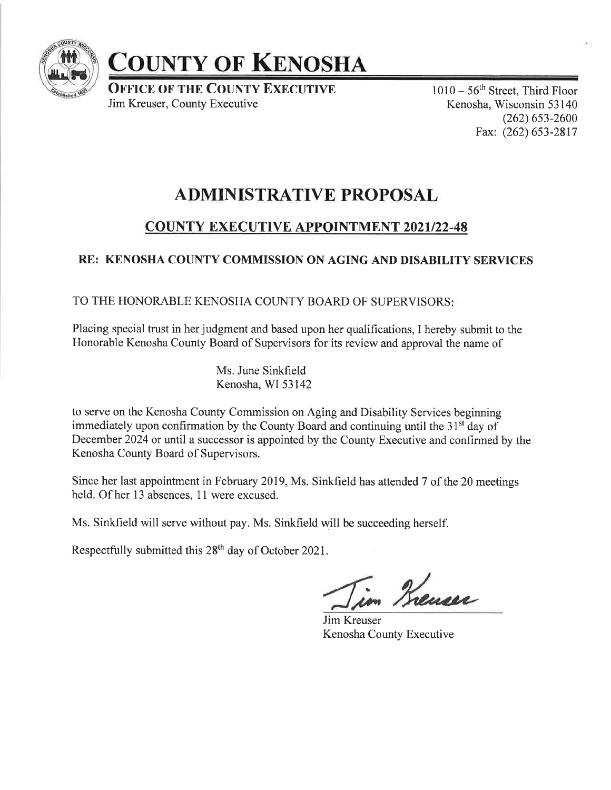

# **COUNTY OF KENOSHA**

**OFFICE OF THE COUNTY EXECUTIVE** Jim Kreuser, County Executive

 $1010 - 56$ <sup>th</sup> Street, Third Floor Kenosha, Wisconsin 53 140  $(262)$  653-2600 Fax: (262) 653-2817

## ADMINISTRATIVE PROPOSAL

## **COUNTY EXECUTIVE APPOINTMENT 2021/22-48**

## RE: KENOSHA COUNTY COMMISSION ON AGING AND DISABILITY SERVICES

### TO THE HONORABLE KENOSHA COUNTY BOARD OF SUPERVISORS

Placing special trust in her judgment and based upon her qualifications, I hereby submit to the Honorable Kenosha County Board of Supervisors for its review and approval the name of

> Ms. June Sinkfield Kenosha, WI 53142

to serve on the Kenosha County Commission on Aging and Disability Services beginning immediately upon confirmation by the County Board and continuing until the  $31<sup>st</sup>$  day of December 2024 or until a successor is appointed by the County Executive and confirmed by the Kenosha County Board of Supervisors.

Since her last appointment in February 2019, Ms. Sinkfield has attended 7 of the 20 meetings held. Of her 13 absences, 11 were excused.

Ms. Sinkfield will serve without pay. Ms. Sinkfield will be succeeding herself.

Respectfully submitted this 28<sup>th</sup> day of October 2021.

im Kneuser

Jim Kreuser Kenosha County Executive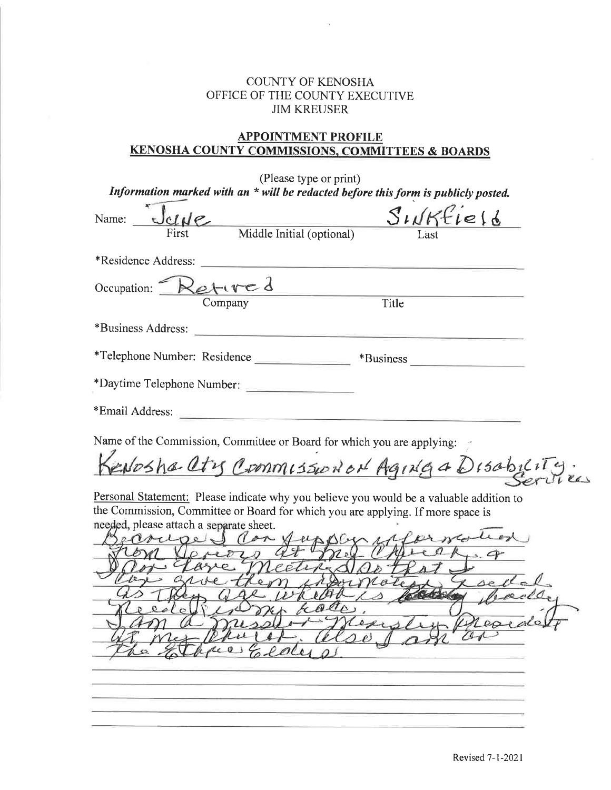#### COUNTY OF KENOSHA OFFICE OF THE COUNTY EXECUTIVE JIM KREUSER

### APPOINTMENT PROFILE KENOSHA COUNTY COMMISSIONS. COMMITTEES & BOARDS

| (Please type or print)<br>Information marked with an * will be redacted before this form is publicly posted.                                                                                                                                                                |
|-----------------------------------------------------------------------------------------------------------------------------------------------------------------------------------------------------------------------------------------------------------------------------|
| Name: $\frac{C}{\sqrt{C}}$ Middle Initial (optional)<br>Sunkfie16                                                                                                                                                                                                           |
| *Residence Address:<br><u> 1989 - Jan Sterling von Berling von Berling von Berling von Berling von Berling von Berling von Berling von B</u>                                                                                                                                |
| Occupation: Retured<br>Title                                                                                                                                                                                                                                                |
| *Business Address:                                                                                                                                                                                                                                                          |
| *Telephone Number: Residence<br>$*$ Business                                                                                                                                                                                                                                |
| *Daytime Telephone Number:                                                                                                                                                                                                                                                  |
| *Email Address:                                                                                                                                                                                                                                                             |
| Name of the Commission, Committee or Board for which you are applying:                                                                                                                                                                                                      |
| Kenoshalty Commission of Aging a Disability                                                                                                                                                                                                                                 |
| Personal Statement: Please indicate why you believe you would be a valuable addition to<br>the Commission, Committee or Board for which you are applying. If more space is<br>needed, please attach a separate sheet.<br>product<br>ecoured con fu<br>Lale<br><i>kalle,</i> |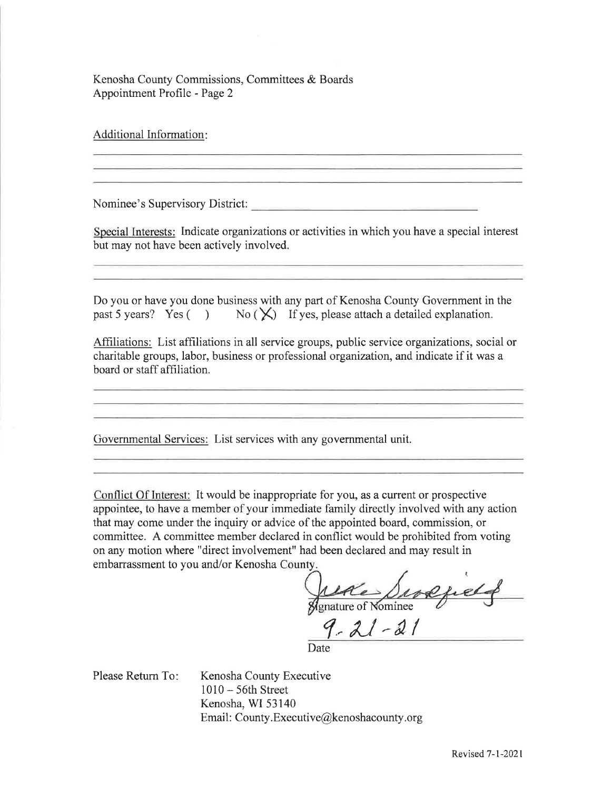Kenosha County Commissions, Committees & Boards Appointment Profile - Page 2

Additional Information

Nominee's Supervisory District:

Special Interests: Indicate organizations or activities in which you have a special interest but may not have been actively involved.

Do you or have you done business with any part of Kenosha County Government in the past 5 years? Yes ( $\rightarrow$  No ( $\overleftrightarrow{\mathsf{X}}$ ) If yes, please attach a detailed explanation.

Affiliations: List affiliations in all service groups, public service organizations, social or charitable groups, labor, business or professional organization, and indicate if it was a board or staff affiliation.

Governmental Services: List services with any govemmental unit.

Conflict Of Interest: It would be inappropriate for you, as a current or prospective appointee, to have a member of your immediate family directly involved with any action that may come under the inquiry or advice of the appointed board, commission, or committee. A committee member declared in conflict would be prohibited from voting on any motion where "direct involvement" had been declared and may result in embarrassment to you and/or Kenosha

of Nominee

 $9 - 21 - 21$ 

Date

Please Return To

Kenosha County Executive <sup>1010</sup>- 56th Street Kenosha, WI 53140 Email: County. Executive@kenoshacounty.org